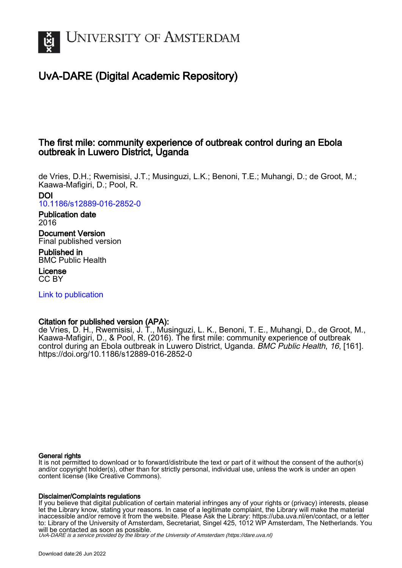

# UvA-DARE (Digital Academic Repository)

# The first mile: community experience of outbreak control during an Ebola outbreak in Luwero District, Uganda

de Vries, D.H.; Rwemisisi, J.T.; Musinguzi, L.K.; Benoni, T.E.; Muhangi, D.; de Groot, M.; Kaawa-Mafigiri, D.; Pool, R. DOI

[10.1186/s12889-016-2852-0](https://doi.org/10.1186/s12889-016-2852-0)

Publication date 2016

Document Version Final published version

Published in BMC Public Health

License CC BY

[Link to publication](https://dare.uva.nl/personal/pure/en/publications/the-first-mile-community-experience-of-outbreak-control-during-an-ebola-outbreak-in-luwero-district-uganda(63e186f5-6598-40e2-ae92-ba49839a1d24).html)

# Citation for published version (APA):

de Vries, D. H., Rwemisisi, J. T., Musinguzi, L. K., Benoni, T. E., Muhangi, D., de Groot, M., Kaawa-Mafigiri, D., & Pool, R. (2016). The first mile: community experience of outbreak control during an Ebola outbreak in Luwero District, Uganda. BMC Public Health, 16, [161]. <https://doi.org/10.1186/s12889-016-2852-0>

## General rights

It is not permitted to download or to forward/distribute the text or part of it without the consent of the author(s) and/or copyright holder(s), other than for strictly personal, individual use, unless the work is under an open content license (like Creative Commons).

## Disclaimer/Complaints regulations

If you believe that digital publication of certain material infringes any of your rights or (privacy) interests, please let the Library know, stating your reasons. In case of a legitimate complaint, the Library will make the material inaccessible and/or remove it from the website. Please Ask the Library: https://uba.uva.nl/en/contact, or a letter to: Library of the University of Amsterdam, Secretariat, Singel 425, 1012 WP Amsterdam, The Netherlands. You will be contacted as soon as possible.

UvA-DARE is a service provided by the library of the University of Amsterdam (http*s*://dare.uva.nl)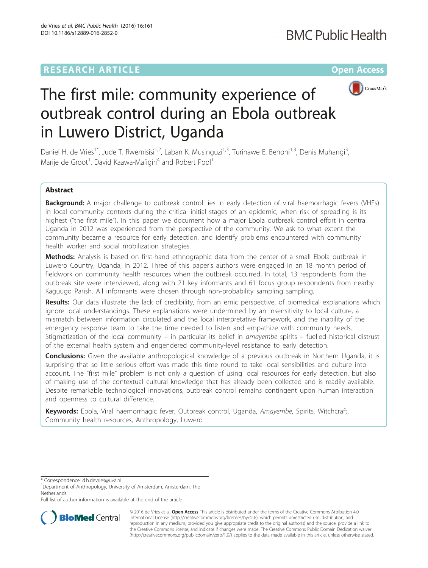# **RESEARCH ARTICLE CONSUMING A RESEARCH ARTICLE**



# The first mile: community experience of outbreak control during an Ebola outbreak in Luwero District, Uganda

Daniel H. de Vries<sup>1\*</sup>, Jude T. Rwemisisi<sup>1,2</sup>, Laban K. Musinguzi<sup>1,3</sup>, Turinawe E. Benoni<sup>1,3</sup>, Denis Muhangi<sup>3</sup>, , Marije de Groot<sup>1</sup>, David Kaawa-Mafigiri<sup>4</sup> and Robert Pool<sup>1</sup>

## Abstract

Background: A major challenge to outbreak control lies in early detection of viral haemorrhagic fevers (VHFs) in local community contexts during the critical initial stages of an epidemic, when risk of spreading is its highest ("the first mile"). In this paper we document how a major Ebola outbreak control effort in central Uganda in 2012 was experienced from the perspective of the community. We ask to what extent the community became a resource for early detection, and identify problems encountered with community health worker and social mobilization strategies.

**Methods:** Analysis is based on first-hand ethnographic data from the center of a small Ebola outbreak in Luwero Country, Uganda, in 2012. Three of this paper's authors were engaged in an 18 month period of fieldwork on community health resources when the outbreak occurred. In total, 13 respondents from the outbreak site were interviewed, along with 21 key informants and 61 focus group respondents from nearby Kaguugo Parish. All informants were chosen through non-probability sampling sampling.

Results: Our data illustrate the lack of credibility, from an emic perspective, of biomedical explanations which ignore local understandings. These explanations were undermined by an insensitivity to local culture, a mismatch between information circulated and the local interpretative framework, and the inability of the emergency response team to take the time needed to listen and empathize with community needs. Stigmatization of the local community – in particular its belief in amayembe spirits – fuelled historical distrust of the external health system and engendered community-level resistance to early detection.

**Conclusions:** Given the available anthropological knowledge of a previous outbreak in Northern Uganda, it is surprising that so little serious effort was made this time round to take local sensibilities and culture into account. The "first mile" problem is not only a question of using local resources for early detection, but also of making use of the contextual cultural knowledge that has already been collected and is readily available. Despite remarkable technological innovations, outbreak control remains contingent upon human interaction and openness to cultural difference.

Keywords: Ebola, Viral haemorrhagic fever, Outbreak control, Uganda, Amayembe, Spirits, Witchcraft, Community health resources, Anthropology, Luwero

\* Correspondence: [d.h.devries@uva.nl](mailto:d.h.devries@uva.nl) <sup>1</sup>

Full list of author information is available at the end of the article



© 2016 de Vries et al. Open Access This article is distributed under the terms of the Creative Commons Attribution 4.0 International License [\(http://creativecommons.org/licenses/by/4.0/](http://creativecommons.org/licenses/by/4.0/)), which permits unrestricted use, distribution, and reproduction in any medium, provided you give appropriate credit to the original author(s) and the source, provide a link to the Creative Commons license, and indicate if changes were made. The Creative Commons Public Domain Dedication waiver [\(http://creativecommons.org/publicdomain/zero/1.0/](http://creativecommons.org/publicdomain/zero/1.0/)) applies to the data made available in this article, unless otherwise stated.

<sup>&</sup>lt;sup>1</sup>Department of Anthropology, University of Amsterdam, Amsterdam, The **Netherlands**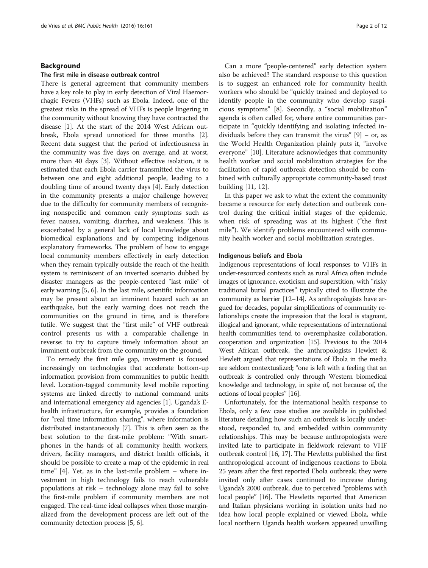#### Background

#### The first mile in disease outbreak control

There is general agreement that community members have a key role to play in early detection of Viral Haemorrhagic Fevers (VHFs) such as Ebola. Indeed, one of the greatest risks in the spread of VHFs is people lingering in the community without knowing they have contracted the disease [\[1](#page-11-0)]. At the start of the 2014 West African outbreak, Ebola spread unnoticed for three months [[2](#page-11-0)]. Recent data suggest that the period of infectiousness in the community was five days on average, and at worst, more than 40 days [[3\]](#page--1-0). Without effective isolation, it is estimated that each Ebola carrier transmitted the virus to between one and eight additional people, leading to a doubling time of around twenty days [[4\]](#page--1-0). Early detection in the community presents a major challenge however, due to the difficulty for community members of recognizing nonspecific and common early symptoms such as fever, nausea, vomiting, diarrhea, and weakness. This is exacerbated by a general lack of local knowledge about biomedical explanations and by competing indigenous explanatory frameworks. The problem of how to engage local community members effectively in early detection when they remain typically outside the reach of the health system is reminiscent of an inverted scenario dubbed by disaster managers as the people-centered "last mile" of early warning [[5, 6](#page--1-0)]. In the last mile, scientific information may be present about an imminent hazard such as an earthquake, but the early warning does not reach the communities on the ground in time, and is therefore futile. We suggest that the "first mile" of VHF outbreak control presents us with a comparable challenge in reverse: to try to capture timely information about an imminent outbreak from the community on the ground.

To remedy the first mile gap, investment is focused increasingly on technologies that accelerate bottom-up information provision from communities to public health level. Location-tagged community level mobile reporting systems are linked directly to national command units and international emergency aid agencies [[1\]](#page-11-0). Uganda's Ehealth infrastructure, for example, provides a foundation for "real time information sharing", where information is distributed instantaneously [\[7](#page--1-0)]. This is often seen as the best solution to the first-mile problem: "With smartphones in the hands of all community health workers, drivers, facility managers, and district health officials, it should be possible to create a map of the epidemic in real time" [\[4](#page--1-0)]. Yet, as in the last-mile problem – where investment in high technology fails to reach vulnerable populations at risk – technology alone may fail to solve the first-mile problem if community members are not engaged. The real-time ideal collapses when those marginalized from the development process are left out of the community detection process [[5](#page--1-0), [6\]](#page--1-0).

Can a more "people-centered" early detection system also be achieved? The standard response to this question is to suggest an enhanced role for community health workers who should be "quickly trained and deployed to identify people in the community who develop suspicious symptoms" [\[8](#page--1-0)]. Secondly, a "social mobilization" agenda is often called for, where entire communities participate in "quickly identifying and isolating infected individuals before they can transmit the virus"  $[9] - or$  $[9] - or$  $[9] - or$ , as the World Health Organization plainly puts it, "involve everyone" [\[10\]](#page--1-0). Literature acknowledges that community health worker and social mobilization strategies for the facilitation of rapid outbreak detection should be combined with culturally appropriate community-based trust building [\[11](#page--1-0), [12](#page--1-0)].

In this paper we ask to what the extent the community became a resource for early detection and outbreak control during the critical initial stages of the epidemic, when risk of spreading was at its highest ("the first mile"). We identify problems encountered with community health worker and social mobilization strategies.

#### Indigenous beliefs and Ebola

Indigenous representations of local responses to VHFs in under-resourced contexts such as rural Africa often include images of ignorance, exoticism and superstition, with "risky traditional burial practices" typically cited to illustrate the community as barrier [[12](#page--1-0)–[14](#page--1-0)]. As anthropologists have argued for decades, popular simplifications of community relationships create the impression that the local is stagnant, illogical and ignorant, while representations of international health communities tend to overemphasize collaboration, cooperation and organization [[15](#page--1-0)]. Previous to the 2014 West African outbreak, the anthropologists Hewlett & Hewlett argued that representations of Ebola in the media are seldom contextualized; "one is left with a feeling that an outbreak is controlled only through Western biomedical knowledge and technology, in spite of, not because of, the actions of local peoples" [\[16\]](#page--1-0).

Unfortunately, for the international health response to Ebola, only a few case studies are available in published literature detailing how such an outbreak is locally understood, responded to, and embedded within community relationships. This may be because anthropologists were invited late to participate in fieldwork relevant to VHF outbreak control [\[16](#page--1-0), [17](#page--1-0)]. The Hewletts published the first anthropological account of indigenous reactions to Ebola 25 years after the first reported Ebola outbreak; they were invited only after cases continued to increase during Uganda's 2000 outbreak, due to perceived "problems with local people" [\[16\]](#page--1-0). The Hewletts reported that American and Italian physicians working in isolation units had no idea how local people explained or viewed Ebola, while local northern Uganda health workers appeared unwilling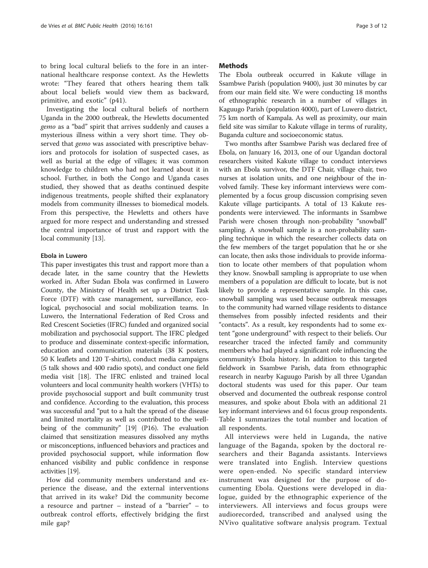to bring local cultural beliefs to the fore in an international healthcare response context. As the Hewletts wrote: "They feared that others hearing them talk about local beliefs would view them as backward, primitive, and exotic" (p41).

Investigating the local cultural beliefs of northern Uganda in the 2000 outbreak, the Hewletts documented gemo as a "bad" spirit that arrives suddenly and causes a mysterious illness within a very short time. They observed that *gemo* was associated with prescriptive behaviors and protocols for isolation of suspected cases, as well as burial at the edge of villages; it was common knowledge to children who had not learned about it in school. Further, in both the Congo and Uganda cases studied, they showed that as deaths continued despite indigenous treatments, people shifted their explanatory models from community illnesses to biomedical models. From this perspective, the Hewletts and others have argued for more respect and understanding and stressed the central importance of trust and rapport with the local community [\[13](#page--1-0)].

#### Ebola in Luwero

This paper investigates this trust and rapport more than a decade later, in the same country that the Hewletts worked in. After Sudan Ebola was confirmed in Luwero County, the Ministry of Health set up a District Task Force (DTF) with case management, surveillance, ecological, psychosocial and social mobilization teams. In Luwero, the International Federation of Red Cross and Red Crescent Societies (IFRC) funded and organized social mobilization and psychosocial support. The IFRC pledged to produce and disseminate context-specific information, education and communication materials (38 K posters, 50 K leaflets and 120 T-shirts), conduct media campaigns (5 talk shows and 400 radio spots), and conduct one field media visit [[18](#page--1-0)]. The IFRC enlisted and trained local volunteers and local community health workers (VHTs) to provide psychosocial support and built community trust and confidence. According to the evaluation, this process was successful and "put to a halt the spread of the disease and limited mortality as well as contributed to the wellbeing of the community" [[19](#page--1-0)] (P16). The evaluation claimed that sensitization measures dissolved any myths or misconceptions, influenced behaviors and practices and provided psychosocial support, while information flow enhanced visibility and public confidence in response activities [\[19\]](#page--1-0).

How did community members understand and experience the disease, and the external interventions that arrived in its wake? Did the community become a resource and partner – instead of a "barrier" – to outbreak control efforts, effectively bridging the first mile gap?

#### **Methods**

The Ebola outbreak occurred in Kakute village in Ssambwe Parish (population 9400), just 30 minutes by car from our main field site. We were conducting 18 months of ethnographic research in a number of villages in Kaguugo Parish (population 4000), part of Luwero district, 75 km north of Kampala. As well as proximity, our main field site was similar to Kakute village in terms of rurality, Buganda culture and socioeconomic status.

Two months after Ssambwe Parish was declared free of Ebola, on January 16, 2013, one of our Ugandan doctoral researchers visited Kakute village to conduct interviews with an Ebola survivor, the DTF Chair, village chair, two nurses at isolation units, and one neighbour of the involved family. These key informant interviews were complemented by a focus group discussion comprising seven Kakute village participants. A total of 13 Kakute respondents were interviewed. The informants in Ssambwe Parish were chosen through non-probability "snowball" sampling. A snowball sample is a non-probability sampling technique in which the researcher collects data on the few members of the target population that he or she can locate, then asks those individuals to provide information to locate other members of that population whom they know. Snowball sampling is appropriate to use when members of a population are difficult to locate, but is not likely to provide a representative sample. In this case, snowball sampling was used because outbreak messages to the community had warned village residents to distance themselves from possibly infected residents and their "contacts". As a result, key respondents had to some extent "gone underground" with respect to their beliefs. Our researcher traced the infected family and community members who had played a significant role influencing the community's Ebola history. In addition to this targeted fieldwork in Ssambwe Parish, data from ethnographic research in nearby Kaguugo Parish by all three Ugandan doctoral students was used for this paper. Our team observed and documented the outbreak response control measures, and spoke about Ebola with an additional 21 key informant interviews and 61 focus group respondents. Table [1](#page-4-0) summarizes the total number and location of all respondents.

All interviews were held in Luganda, the native language of the Baganda, spoken by the doctoral researchers and their Baganda assistants. Interviews were translated into English. Interview questions were open-ended. No specific standard interview instrument was designed for the purpose of documenting Ebola. Questions were developed in dialogue, guided by the ethnographic experience of the interviewers. All interviews and focus groups were audiorecorded, transcribed and analysed using the NVivo qualitative software analysis program. Textual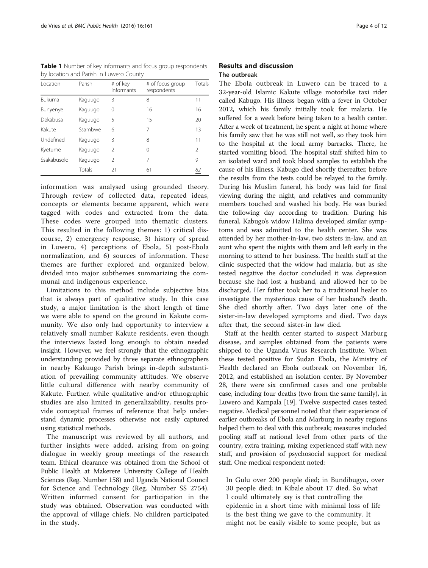<span id="page-4-0"></span>Table 1 Number of key informants and focus group respondents by location and Parish in Luwero County

| Location    | Parish  | # of key<br>informants | # of focus group<br>respondents | Totals         |
|-------------|---------|------------------------|---------------------------------|----------------|
| Bukuma      | Kaguugo | 3                      | 8                               | 11             |
| Bunyenye    | Kaguugo | 0                      | 16                              | 16             |
| Dekabusa    | Kaguugo | 5                      | 15                              | 20             |
| Kakute      | Ssambwe | 6                      | 7                               | 13             |
| Undefined   | Kaguugo | 3                      | 8                               | 11             |
| Kyetume     | Kaguugo | $\mathcal{P}$          | 0                               | $\mathfrak{D}$ |
| Ssakabusolo | Kaguugo | $\mathcal{P}$          | 7                               | 9              |
|             | Totals  | 21                     | 61                              | 82             |

information was analysed using grounded theory. Through review of collected data, repeated ideas, concepts or elements became apparent, which were tagged with codes and extracted from the data. These codes were grouped into thematic clusters. This resulted in the following themes: 1) critical discourse, 2) emergency response, 3) history of spread in Luwero, 4) perceptions of Ebola, 5) post-Ebola normalization, and 6) sources of information. These themes are further explored and organized below, divided into major subthemes summarizing the communal and indigenous experience.

Limitations to this method include subjective bias that is always part of qualitative study. In this case study, a major limitation is the short length of time we were able to spend on the ground in Kakute community. We also only had opportunity to interview a relatively small number Kakute residents, even though the interviews lasted long enough to obtain needed insight. However, we feel strongly that the ethnographic understanding provided by three separate ethnographers in nearby Kakuugo Parish brings in-depth substantiation of prevailing community attitudes. We observe little cultural difference with nearby community of Kakute. Further, while qualitative and/or ethnographic studies are also limited in generalizability, results provide conceptual frames of reference that help understand dynamic processes otherwise not easily captured using statistical methods.

The manuscript was reviewed by all authors, and further insights were added, arising from on-going dialogue in weekly group meetings of the research team. Ethical clearance was obtained from the School of Public Health at Makerere University College of Health Sciences (Reg. Number 158) and Uganda National Council for Science and Technology (Reg. Number SS 2754). Written informed consent for participation in the study was obtained. Observation was conducted with the approval of village chiefs. No children participated in the study.

#### Results and discussion The outbreak

The Ebola outbreak in Luwero can be traced to a 32-year-old Islamic Kakute village motorbike taxi rider called Kabugo. His illness began with a fever in October 2012, which his family initially took for malaria. He suffered for a week before being taken to a health center. After a week of treatment, he spent a night at home where his family saw that he was still not well, so they took him to the hospital at the local army barracks. There, he started vomiting blood. The hospital staff shifted him to an isolated ward and took blood samples to establish the cause of his illness. Kabugo died shortly thereafter, before the results from the tests could be relayed to the family. During his Muslim funeral, his body was laid for final viewing during the night, and relatives and community members touched and washed his body. He was buried the following day according to tradition. During his funeral, Kabugo's widow Halima developed similar symptoms and was admitted to the health center. She was attended by her mother-in-law, two sisters in-law, and an aunt who spent the nights with them and left early in the morning to attend to her business. The health staff at the clinic suspected that the widow had malaria, but as she tested negative the doctor concluded it was depression because she had lost a husband, and allowed her to be discharged. Her father took her to a traditional healer to investigate the mysterious cause of her husband's death. She died shortly after. Two days later one of the sister-in-law developed symptoms and died. Two days after that, the second sister-in law died.

Staff at the health center started to suspect Marburg disease, and samples obtained from the patients were shipped to the Uganda Virus Research Institute. When these tested positive for Sudan Ebola, the Ministry of Health declared an Ebola outbreak on November 16, 2012, and established an isolation center. By November 28, there were six confirmed cases and one probable case, including four deaths (two from the same family), in Luwero and Kampala [\[19\]](#page--1-0). Twelve suspected cases tested negative. Medical personnel noted that their experience of earlier outbreaks of Ebola and Marburg in nearby regions helped them to deal with this outbreak; measures included pooling staff at national level from other parts of the country, extra training, mixing experienced staff with new staff, and provision of psychosocial support for medical staff. One medical respondent noted:

In Gulu over 200 people died; in Bundibugyo, over 30 people died; in Kibale about 17 died. So what I could ultimately say is that controlling the epidemic in a short time with minimal loss of life is the best thing we gave to the community. It might not be easily visible to some people, but as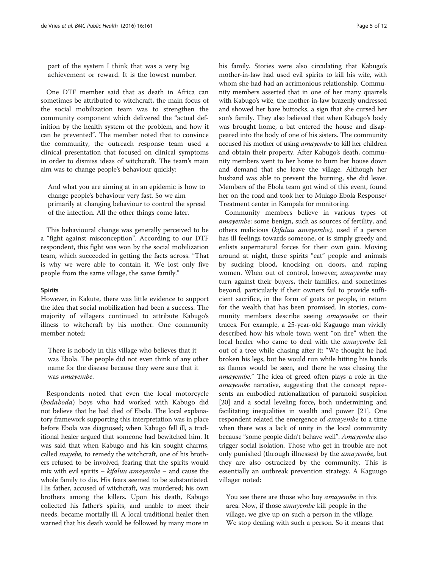part of the system I think that was a very big achievement or reward. It is the lowest number.

One DTF member said that as death in Africa can sometimes be attributed to witchcraft, the main focus of the social mobilization team was to strengthen the community component which delivered the "actual definition by the health system of the problem, and how it can be prevented". The member noted that to convince the community, the outreach response team used a clinical presentation that focused on clinical symptoms in order to dismiss ideas of witchcraft. The team's main aim was to change people's behaviour quickly:

And what you are aiming at in an epidemic is how to change people's behaviour very fast. So we aim primarily at changing behaviour to control the spread of the infection. All the other things come later.

This behavioural change was generally perceived to be a "fight against misconception". According to our DTF respondent, this fight was won by the social mobilization team, which succeeded in getting the facts across. "That is why we were able to contain it. We lost only five people from the same village, the same family."

#### Spirits

However, in Kakute, there was little evidence to support the idea that social mobilization had been a success. The majority of villagers continued to attribute Kabugo's illness to witchcraft by his mother. One community member noted:

There is nobody in this village who believes that it was Ebola. The people did not even think of any other name for the disease because they were sure that it was amayembe.

Respondents noted that even the local motorcycle (bodaboda) boys who had worked with Kabugo did not believe that he had died of Ebola. The local explanatory framework supporting this interpretation was in place before Ebola was diagnosed; when Kabugo fell ill, a traditional healer argued that someone had bewitched him. It was said that when Kabugo and his kin sought charms, called *mayebe*, to remedy the witchcraft, one of his brothers refused to be involved, fearing that the spirits would mix with evil spirits –  $kifaluu$  amayembe – and cause the whole family to die. His fears seemed to be substantiated. His father, accused of witchcraft, was murdered; his own brothers among the killers. Upon his death, Kabugo collected his father's spirits, and unable to meet their needs, became mortally ill. A local traditional healer then warned that his death would be followed by many more in his family. Stories were also circulating that Kabugo's mother-in-law had used evil spirits to kill his wife, with whom she had had an acrimonious relationship. Community members asserted that in one of her many quarrels with Kabugo's wife, the mother-in-law brazenly undressed and showed her bare buttocks, a sign that she cursed her son's family. They also believed that when Kabugo's body was brought home, a bat entered the house and disappeared into the body of one of his sisters. The community accused his mother of using amayembe to kill her children and obtain their property. After Kabugo's death, community members went to her home to burn her house down and demand that she leave the village. Although her husband was able to prevent the burning, she did leave. Members of the Ebola team got wind of this event, found her on the road and took her to Mulago Ebola Response/ Treatment center in Kampala for monitoring.

Community members believe in various types of amayembe: some benign, such as sources of fertility, and others malicious (kifaluu amayembe), used if a person has ill feelings towards someone, or is simply greedy and enlists supernatural forces for their own gain. Moving around at night, these spirits "eat" people and animals by sucking blood, knocking on doors, and raping women. When out of control, however, amayembe may turn against their buyers, their families, and sometimes beyond, particularly if their owners fail to provide sufficient sacrifice, in the form of goats or people, in return for the wealth that has been promised. In stories, community members describe seeing *amayembe* or their traces. For example, a 25-year-old Kaguugo man vividly described how his whole town went "on fire" when the local healer who came to deal with the amayembe fell out of a tree while chasing after it: "We thought he had broken his legs, but he would run while hitting his hands as flames would be seen, and there he was chasing the amayembe." The idea of greed often plays a role in the amayembe narrative, suggesting that the concept represents an embodied rationalization of paranoid suspicion [[20](#page--1-0)] and a social leveling force, both undermining and facilitating inequalities in wealth and power [\[21\]](#page--1-0). One respondent related the emergence of *amayembe* to a time when there was a lack of unity in the local community because "some people didn't behave well". Amayembe also trigger social isolation. Those who get in trouble are not only punished (through illnesses) by the amayembe, but they are also ostracized by the community. This is essentially an outbreak prevention strategy. A Kaguugo villager noted:

You see there are those who buy *amayembe* in this area. Now, if those amayembe kill people in the village, we give up on such a person in the village. We stop dealing with such a person. So it means that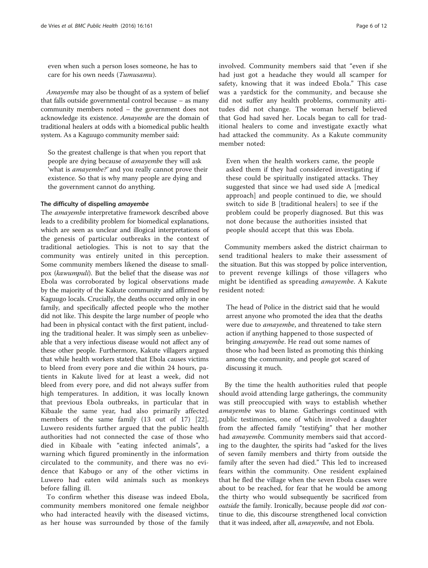even when such a person loses someone, he has to care for his own needs (Tumusamu).

Amayembe may also be thought of as a system of belief that falls outside governmental control because – as many community members noted – the government does not acknowledge its existence. Amayembe are the domain of traditional healers at odds with a biomedical public health system. As a Kaguugo community member said:

So the greatest challenge is that when you report that people are dying because of amayembe they will ask 'what is amayembe?' and you really cannot prove their existence. So that is why many people are dying and the government cannot do anything.

#### The difficulty of dispelling amayembe

The amayembe interpretative framework described above leads to a credibility problem for biomedical explanations, which are seen as unclear and illogical interpretations of the genesis of particular outbreaks in the context of traditional aetiologies. This is not to say that the community was entirely united in this perception. Some community members likened the disease to smallpox (kawumpuli). But the belief that the disease was not Ebola was corroborated by logical observations made by the majority of the Kakute community and affirmed by Kaguugo locals. Crucially, the deaths occurred only in one family, and specifically affected people who the mother did not like. This despite the large number of people who had been in physical contact with the first patient, including the traditional healer. It was simply seen as unbelievable that a very infectious disease would not affect any of these other people. Furthermore, Kakute villagers argued that while health workers stated that Ebola causes victims to bleed from every pore and die within 24 hours, patients in Kakute lived for at least a week, did not bleed from every pore, and did not always suffer from high temperatures. In addition, it was locally known that previous Ebola outbreaks, in particular that in Kibaale the same year, had also primarily affected members of the same family (13 out of 17) [\[22](#page--1-0)]. Luwero residents further argued that the public health authorities had not connected the case of those who died in Kibaale with "eating infected animals", a warning which figured prominently in the information circulated to the community, and there was no evidence that Kabugo or any of the other victims in Luwero had eaten wild animals such as monkeys before falling ill.

To confirm whether this disease was indeed Ebola, community members monitored one female neighbor who had interacted heavily with the diseased victims, as her house was surrounded by those of the family

involved. Community members said that "even if she had just got a headache they would all scamper for safety, knowing that it was indeed Ebola." This case was a yardstick for the community, and because she did not suffer any health problems, community attitudes did not change. The woman herself believed that God had saved her. Locals began to call for traditional healers to come and investigate exactly what had attacked the community. As a Kakute community member noted:

Even when the health workers came, the people asked them if they had considered investigating if these could be spiritually instigated attacks. They suggested that since we had used side A [medical approach] and people continued to die, we should switch to side B [traditional healers] to see if the problem could be properly diagnosed. But this was not done because the authorities insisted that people should accept that this was Ebola.

Community members asked the district chairman to send traditional healers to make their assessment of the situation. But this was stopped by police intervention, to prevent revenge killings of those villagers who might be identified as spreading amayembe. A Kakute resident noted:

The head of Police in the district said that he would arrest anyone who promoted the idea that the deaths were due to *amayembe*, and threatened to take stern action if anything happened to those suspected of bringing amayembe. He read out some names of those who had been listed as promoting this thinking among the community, and people got scared of discussing it much.

By the time the health authorities ruled that people should avoid attending large gatherings, the community was still preoccupied with ways to establish whether amayembe was to blame. Gatherings continued with public testimonies, one of which involved a daughter from the affected family "testifying" that her mother had *amayembe*. Community members said that according to the daughter, the spirits had "asked for the lives of seven family members and thirty from outside the family after the seven had died." This led to increased fears within the community. One resident explained that he fled the village when the seven Ebola cases were about to be reached, for fear that he would be among the thirty who would subsequently be sacrificed from outside the family. Ironically, because people did not continue to die, this discourse strengthened local conviction that it was indeed, after all, *amayembe*, and not Ebola.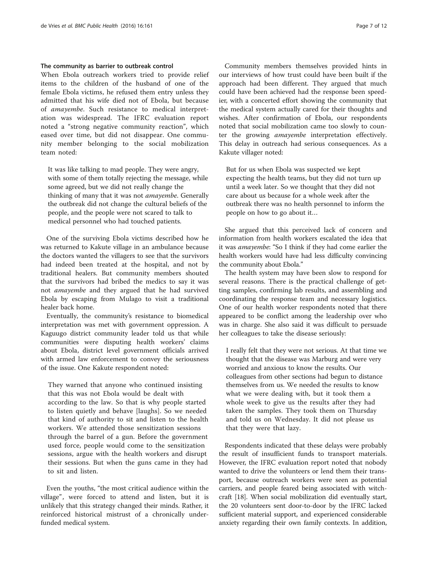#### The community as barrier to outbreak control

When Ebola outreach workers tried to provide relief items to the children of the husband of one of the female Ebola victims, he refused them entry unless they admitted that his wife died not of Ebola, but because of amayembe. Such resistance to medical interpretation was widespread. The IFRC evaluation report noted a "strong negative community reaction", which eased over time, but did not disappear. One community member belonging to the social mobilization team noted:

It was like talking to mad people. They were angry, with some of them totally rejecting the message, while some agreed, but we did not really change the thinking of many that it was not amayembe. Generally the outbreak did not change the cultural beliefs of the people, and the people were not scared to talk to medical personnel who had touched patients.

One of the surviving Ebola victims described how he was returned to Kakute village in an ambulance because the doctors wanted the villagers to see that the survivors had indeed been treated at the hospital, and not by traditional healers. But community members shouted that the survivors had bribed the medics to say it was not amayembe and they argued that he had survived Ebola by escaping from Mulago to visit a traditional healer back home.

Eventually, the community's resistance to biomedical interpretation was met with government oppression. A Kaguugo district community leader told us that while communities were disputing health workers' claims about Ebola, district level government officials arrived with armed law enforcement to convey the seriousness of the issue. One Kakute respondent noted:

They warned that anyone who continued insisting that this was not Ebola would be dealt with according to the law. So that is why people started to listen quietly and behave [laughs]. So we needed that kind of authority to sit and listen to the health workers. We attended those sensitization sessions through the barrel of a gun. Before the government used force, people would come to the sensitization sessions, argue with the health workers and disrupt their sessions. But when the guns came in they had to sit and listen.

Even the youths, "the most critical audience within the village", were forced to attend and listen, but it is unlikely that this strategy changed their minds. Rather, it reinforced historical mistrust of a chronically underfunded medical system.

Community members themselves provided hints in our interviews of how trust could have been built if the approach had been different. They argued that much could have been achieved had the response been speedier, with a concerted effort showing the community that the medical system actually cared for their thoughts and wishes. After confirmation of Ebola, our respondents noted that social mobilization came too slowly to counter the growing *amayembe* interpretation effectively. This delay in outreach had serious consequences. As a Kakute villager noted:

But for us when Ebola was suspected we kept expecting the health teams, but they did not turn up until a week later. So we thought that they did not care about us because for a whole week after the outbreak there was no health personnel to inform the people on how to go about it…

She argued that this perceived lack of concern and information from health workers escalated the idea that it was amayembe: "So I think if they had come earlier the health workers would have had less difficulty convincing the community about Ebola."

The health system may have been slow to respond for several reasons. There is the practical challenge of getting samples, confirming lab results, and assembling and coordinating the response team and necessary logistics. One of our health worker respondents noted that there appeared to be conflict among the leadership over who was in charge. She also said it was difficult to persuade her colleagues to take the disease seriously:

I really felt that they were not serious. At that time we thought that the disease was Marburg and were very worried and anxious to know the results. Our colleagues from other sections had begun to distance themselves from us. We needed the results to know what we were dealing with, but it took them a whole week to give us the results after they had taken the samples. They took them on Thursday and told us on Wednesday. It did not please us that they were that lazy.

Respondents indicated that these delays were probably the result of insufficient funds to transport materials. However, the IFRC evaluation report noted that nobody wanted to drive the volunteers or lend them their transport, because outreach workers were seen as potential carriers, and people feared being associated with witchcraft [[18](#page--1-0)]. When social mobilization did eventually start, the 20 volunteers sent door-to-door by the IFRC lacked sufficient material support, and experienced considerable anxiety regarding their own family contexts. In addition,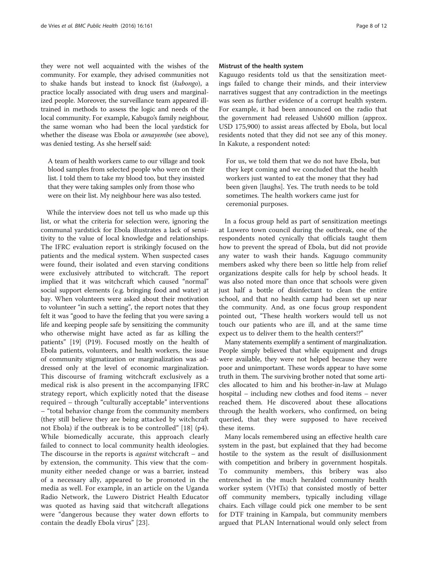they were not well acquainted with the wishes of the community. For example, they advised communities not to shake hands but instead to knock fist (kubongo), a practice locally associated with drug users and marginalized people. Moreover, the surveillance team appeared illtrained in methods to assess the logic and needs of the local community. For example, Kabugo's family neighbour, the same woman who had been the local yardstick for whether the disease was Ebola or *amayembe* (see above), was denied testing. As she herself said:

A team of health workers came to our village and took blood samples from selected people who were on their list. I told them to take my blood too, but they insisted that they were taking samples only from those who were on their list. My neighbour here was also tested.

While the interview does not tell us who made up this list, or what the criteria for selection were, ignoring the communal yardstick for Ebola illustrates a lack of sensitivity to the value of local knowledge and relationships. The IFRC evaluation report is strikingly focused on the patients and the medical system. When suspected cases were found, their isolated and even starving conditions were exclusively attributed to witchcraft. The report implied that it was witchcraft which caused "normal" social support elements (e.g. bringing food and water) at bay. When volunteers were asked about their motivation to volunteer "in such a setting", the report notes that they felt it was "good to have the feeling that you were saving a life and keeping people safe by sensitizing the community who otherwise might have acted as far as killing the patients" [\[19\]](#page--1-0) (P19). Focused mostly on the health of Ebola patients, volunteers, and health workers, the issue of community stigmatization or marginalization was addressed only at the level of economic marginalization. This discourse of framing witchcraft exclusively as a medical risk is also present in the accompanying IFRC strategy report, which explicitly noted that the disease required – through "culturally acceptable" interventions – "total behavior change from the community members (they still believe they are being attacked by witchcraft not Ebola) if the outbreak is to be controlled" [\[18](#page--1-0)] (p4). While biomedically accurate, this approach clearly failed to connect to local community health ideologies. The discourse in the reports is *against* witchcraft – and by extension, the community. This view that the community either needed change or was a barrier, instead of a necessary ally, appeared to be promoted in the media as well. For example, in an article on the Uganda Radio Network, the Luwero District Health Educator was quoted as having said that witchcraft allegations were "dangerous because they water down efforts to contain the deadly Ebola virus" [[23\]](#page--1-0).

#### Mistrust of the health system

Kaguugo residents told us that the sensitization meetings failed to change their minds, and their interview narratives suggest that any contradiction in the meetings was seen as further evidence of a corrupt health system. For example, it had been announced on the radio that the government had released Ush600 million (approx. USD 175,900) to assist areas affected by Ebola, but local residents noted that they did not see any of this money. In Kakute, a respondent noted:

For us, we told them that we do not have Ebola, but they kept coming and we concluded that the health workers just wanted to eat the money that they had been given [laughs]. Yes. The truth needs to be told sometimes. The health workers came just for ceremonial purposes.

In a focus group held as part of sensitization meetings at Luwero town council during the outbreak, one of the respondents noted cynically that officials taught them how to prevent the spread of Ebola, but did not provide any water to wash their hands. Kaguugo community members asked why there been so little help from relief organizations despite calls for help by school heads. It was also noted more than once that schools were given just half a bottle of disinfectant to clean the entire school, and that no health camp had been set up near the community. And, as one focus group respondent pointed out, "These health workers would tell us not touch our patients who are ill, and at the same time expect us to deliver them to the health centers!?"

Many statements exemplify a sentiment of marginalization. People simply believed that while equipment and drugs were available, they were not helped because they were poor and unimportant. These words appear to have some truth in them. The surviving brother noted that some articles allocated to him and his brother-in-law at Mulago hospital – including new clothes and food items – never reached them. He discovered about these allocations through the health workers, who confirmed, on being queried, that they were supposed to have received these items.

Many locals remembered using an effective health care system in the past, but explained that they had become hostile to the system as the result of disillusionment with competition and bribery in government hospitals. To community members, this bribery was also entrenched in the much heralded community health worker system (VHTs) that consisted mostly of better off community members, typically including village chairs. Each village could pick one member to be sent for DTF training in Kampala, but community members argued that PLAN International would only select from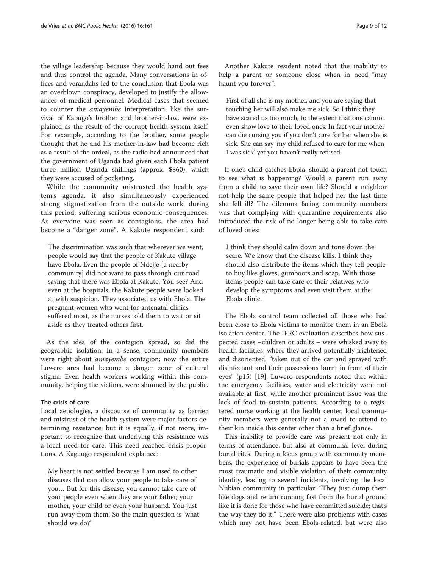the village leadership because they would hand out fees and thus control the agenda. Many conversations in offices and verandahs led to the conclusion that Ebola was an overblown conspiracy, developed to justify the allowances of medical personnel. Medical cases that seemed to counter the amayembe interpretation, like the survival of Kabugo's brother and brother-in-law, were explained as the result of the corrupt health system itself. For rexample, according to the brother, some people thought that he and his mother-in-law had become rich as a result of the ordeal, as the radio had announced that the government of Uganda had given each Ebola patient three million Uganda shillings (approx. \$860), which they were accused of pocketing.

While the community mistrusted the health system's agenda, it also simultaneously experienced strong stigmatization from the outside world during this period, suffering serious economic consequences. As everyone was seen as contagious, the area had become a "danger zone". A Kakute respondent said:

The discrimination was such that wherever we went, people would say that the people of Kakute village have Ebola. Even the people of Ndejje [a nearby community] did not want to pass through our road saying that there was Ebola at Kakute. You see? And even at the hospitals, the Kakute people were looked at with suspicion. They associated us with Ebola. The pregnant women who went for antenatal clinics suffered most, as the nurses told them to wait or sit aside as they treated others first.

As the idea of the contagion spread, so did the geographic isolation. In a sense, community members were right about *amayembe* contagion; now the entire Luwero area had become a danger zone of cultural stigma. Even health workers working within this community, helping the victims, were shunned by the public.

#### The crisis of care

Local aetiologies, a discourse of community as barrier, and mistrust of the health system were major factors determining resistance, but it is equally, if not more, important to recognize that underlying this resistance was a local need for care. This need reached crisis proportions. A Kaguugo respondent explained:

My heart is not settled because I am used to other diseases that can allow your people to take care of you… But for this disease, you cannot take care of your people even when they are your father, your mother, your child or even your husband. You just run away from them! So the main question is 'what should we do?'

Another Kakute resident noted that the inability to help a parent or someone close when in need "may haunt you forever":

First of all she is my mother, and you are saying that touching her will also make me sick. So I think they have scared us too much, to the extent that one cannot even show love to their loved ones. In fact your mother can die cursing you if you don't care for her when she is sick. She can say 'my child refused to care for me when I was sick' yet you haven't really refused.

If one's child catches Ebola, should a parent not touch to see what is happening? Would a parent run away from a child to save their own life? Should a neighbor not help the same people that helped her the last time she fell ill? The dilemma facing community members was that complying with quarantine requirements also introduced the risk of no longer being able to take care of loved ones:

I think they should calm down and tone down the scare. We know that the disease kills. I think they should also distribute the items which they tell people to buy like gloves, gumboots and soap. With those items people can take care of their relatives who develop the symptoms and even visit them at the Ebola clinic.

The Ebola control team collected all those who had been close to Ebola victims to monitor them in an Ebola isolation center. The IFRC evaluation describes how suspected cases –children or adults – were whisked away to health facilities, where they arrived potentially frightened and disoriented, "taken out of the car and sprayed with disinfectant and their possessions burnt in front of their eyes" (p15) [[19\]](#page--1-0). Luwero respondents noted that within the emergency facilities, water and electricity were not available at first, while another prominent issue was the lack of food to sustain patients. According to a registered nurse working at the health center, local community members were generally not allowed to attend to their kin inside this center other than a brief glance.

This inability to provide care was present not only in terms of attendance, but also at communal level during burial rites. During a focus group with community members, the experience of burials appears to have been the most traumatic and visible violation of their community identity, leading to several incidents, involving the local Nubian community in particular: "They just dump them like dogs and return running fast from the burial ground like it is done for those who have committed suicide; that's the way they do it." There were also problems with cases which may not have been Ebola-related, but were also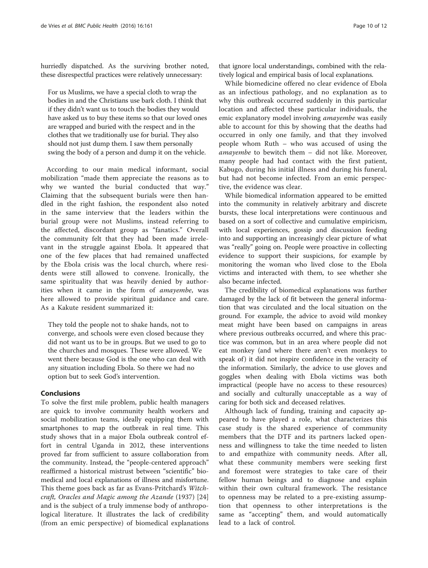hurriedly dispatched. As the surviving brother noted, these disrespectful practices were relatively unnecessary:

For us Muslims, we have a special cloth to wrap the bodies in and the Christians use bark cloth. I think that if they didn't want us to touch the bodies they would have asked us to buy these items so that our loved ones are wrapped and buried with the respect and in the clothes that we traditionally use for burial. They also should not just dump them. I saw them personally swing the body of a person and dump it on the vehicle.

According to our main medical informant, social mobilization "made them appreciate the reasons as to why we wanted the burial conducted that way." Claiming that the subsequent burials were then handled in the right fashion, the respondent also noted in the same interview that the leaders within the burial group were not Muslims, instead referring to the affected, discordant group as "fanatics." Overall the community felt that they had been made irrelevant in the struggle against Ebola. It appeared that one of the few places that had remained unaffected by the Ebola crisis was the local church, where residents were still allowed to convene. Ironically, the same spirituality that was heavily denied by authorities when it came in the form of amayembe, was here allowed to provide spiritual guidance and care. As a Kakute resident summarized it:

They told the people not to shake hands, not to converge, and schools were even closed because they did not want us to be in groups. But we used to go to the churches and mosques. These were allowed. We went there because God is the one who can deal with any situation including Ebola. So there we had no option but to seek God's intervention.

#### Conclusions

To solve the first mile problem, public health managers are quick to involve community health workers and social mobilization teams, ideally equipping them with smartphones to map the outbreak in real time. This study shows that in a major Ebola outbreak control effort in central Uganda in 2012, these interventions proved far from sufficient to assure collaboration from the community. Instead, the "people-centered approach" reaffirmed a historical mistrust between "scientific" biomedical and local explanations of illness and misfortune. This theme goes back as far as Evans-Pritchard's Witchcraft, Oracles and Magic among the Azande (1937) [\[24](#page--1-0)] and is the subject of a truly immense body of anthropological literature. It illustrates the lack of credibility (from an emic perspective) of biomedical explanations that ignore local understandings, combined with the relatively logical and empirical basis of local explanations.

While biomedicine offered no clear evidence of Ebola as an infectious pathology, and no explanation as to why this outbreak occurred suddenly in this particular location and affected these particular individuals, the emic explanatory model involving amayembe was easily able to account for this by showing that the deaths had occurred in only one family, and that they involved people whom Ruth – who was accused of using the amayembe to bewitch them – did not like. Moreover, many people had had contact with the first patient, Kabugo, during his initial illness and during his funeral, but had not become infected. From an emic perspective, the evidence was clear.

While biomedical information appeared to be emitted into the community in relatively arbitrary and discrete bursts, these local interpretations were continuous and based on a sort of collective and cumulative empiricism, with local experiences, gossip and discussion feeding into and supporting an increasingly clear picture of what was "really" going on. People were proactive in collecting evidence to support their suspicions, for example by monitoring the woman who lived close to the Ebola victims and interacted with them, to see whether she also became infected.

The credibility of biomedical explanations was further damaged by the lack of fit between the general information that was circulated and the local situation on the ground. For example, the advice to avoid wild monkey meat might have been based on campaigns in areas where previous outbreaks occurred, and where this practice was common, but in an area where people did not eat monkey (and where there aren't even monkeys to speak of) it did not inspire confidence in the veracity of the information. Similarly, the advice to use gloves and goggles when dealing with Ebola victims was both impractical (people have no access to these resources) and socially and culturally unacceptable as a way of caring for both sick and deceased relatives.

Although lack of funding, training and capacity appeared to have played a role, what characterizes this case study is the shared experience of community members that the DTF and its partners lacked openness and willingness to take the time needed to listen to and empathize with community needs. After all, what these community members were seeking first and foremost were strategies to take care of their fellow human beings and to diagnose and explain within their own cultural framework. The resistance to openness may be related to a pre-existing assumption that openness to other interpretations is the same as "accepting" them, and would automatically lead to a lack of control.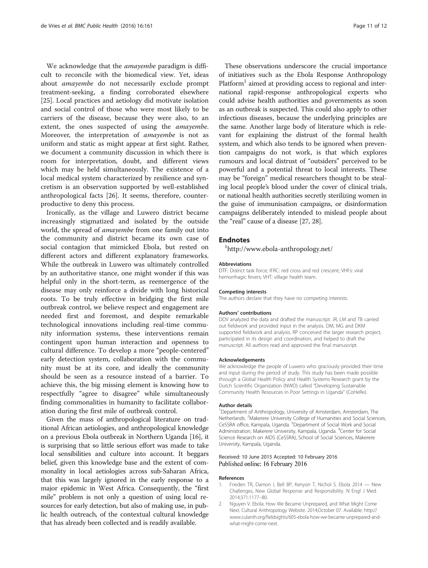<span id="page-11-0"></span>We acknowledge that the *amayembe* paradigm is difficult to reconcile with the biomedical view. Yet, ideas about amayembe do not necessarily exclude prompt treatment-seeking, a finding corroborated elsewhere [[25\]](#page--1-0). Local practices and aetiology did motivate isolation and social control of those who were most likely to be carriers of the disease, because they were also, to an extent, the ones suspected of using the *amayembe*. Moreover, the interpretation of amayembe is not as uniform and static as might appear at first sight. Rather, we document a community discussion in which there is room for interpretation, doubt, and different views which may be held simultaneously. The existence of a local medical system characterized by resilience and syncretism is an observation supported by well-established anthropological facts [[26\]](#page--1-0). It seems, therefore, counterproductive to deny this process.

Ironically, as the village and Luwero district became increasingly stigmatized and isolated by the outside world, the spread of amayembe from one family out into the community and district became its own case of social contagion that mimicked Ebola, but rested on different actors and different explanatory frameworks. While the outbreak in Luwero was ultimately controlled by an authoritative stance, one might wonder if this was helpful only in the short-term, as reemergence of the disease may only reinforce a divide with long historical roots. To be truly effective in bridging the first mile outbreak control, we believe respect and engagement are needed first and foremost, and despite remarkable technological innovations including real-time community information systems, these interventions remain contingent upon human interaction and openness to cultural difference. To develop a more "people-centered" early detection system, collaboration with the community must be at its core, and ideally the community should be seen as a resource instead of a barrier. To achieve this, the big missing element is knowing how to respectfully "agree to disagree" while simultaneously finding commonalities in humanity to facilitate collaboration during the first mile of outbreak control.

Given the mass of anthropological literature on traditional African aetiologies, and anthropological knowledge on a previous Ebola outbreak in Northern Uganda [\[16\]](#page--1-0), it is surprising that so little serious effort was made to take local sensibilities and culture into account. It beggars belief, given this knowledge base and the extent of commonality in local aetiologies across sub-Saharan Africa, that this was largely ignored in the early response to a major epidemic in West Africa. Consequently, the "first mile" problem is not only a question of using local resources for early detection, but also of making use, in public health outreach, of the contextual cultural knowledge that has already been collected and is readily available.

These observations underscore the crucial importance of initiatives such as the Ebola Response Anthropology  $Platform<sup>1</sup>$  aimed at providing access to regional and international rapid-response anthropological experts who could advise health authorities and governments as soon as an outbreak is suspected. This could also apply to other infectious diseases, because the underlying principles are the same. Another large body of literature which is relevant for explaining the distrust of the formal health system, and which also tends to be ignored when prevention campaigns do not work, is that which explores rumours and local distrust of "outsiders" perceived to be powerful and a potential threat to local interests. These may be "foreign" medical researchers thought to be stealing local people's blood under the cover of clinical trials, or national health authorities secretly sterilizing women in the guise of immunisation campaigns, or disinformation campaigns deliberately intended to mislead people about the "real" cause of a disease [[27, 28\]](#page--1-0).

#### **Endnotes**

<http://www.ebola-anthropology.net/>

#### Abbreviations

DTF: District task force; IFRC: red cross and red crescent; VHFs: viral hemorrhagic fevers; VHT: village health team.

#### Competing interests

The authors declare that they have no competing interests.

#### Authors' contributions

DDV analyzed the data and drafted the manuscript. JR, LM and TB carried out fieldwork and provided input in the analysis. DM, MG and DKM supported fieldwork and analysis. RP conceived the larger research project, participated in its design and coordination, and helped to draft the manuscript. All authors read and approved the final manuscript.

#### Acknowledgements

We acknowledge the people of Luwero who graciously provided their time and input during the period of study. This study has been made possible through a Global Health Policy and Health Systems Research grant by the Dutch Scientific Organization (NWO) called "Developing Sustainable Community Health Resources in Poor Settings in Uganda" (CoHeRe).

#### Author details

<sup>1</sup>Department of Anthropology, University of Amsterdam, Amsterdam, The Netherlands. <sup>2</sup>Makerere University College of Humanities and Social Sciences, CeSSRA office, Kampala, Uganda. <sup>3</sup>Department of Social Work and Social Administration, Makerere University, Kampala, Uganda. <sup>4</sup>Center for Social Science Research on AIDS (CeSSRA), School of Social Sciences, Makerere University, Kampala, Uganda.

#### Received: 10 June 2015 Accepted: 10 February 2016 Published online: 16 February 2016

#### References

- 1. Frieden TR, Damon I, Bell BP, Kenyon T, Nichol S. Ebola 2014 New Challenges, New Global Response and Responsibility. N Engl J Med. 2014;371:1177–80.
- 2. Nguyen V. Ebola: How We Became Unprepared, and What Might Come Next. Cultural Anthropology Website. 2014;October 07. Available: [http://](http://www.culanth.org/fieldsights/605-ebola-how-we-became-unprepared-and-what-might-come-next) [www.culanth.org/fieldsights/605-ebola-how-we-became-unprepared-and](http://www.culanth.org/fieldsights/605-ebola-how-we-became-unprepared-and-what-might-come-next)[what-might-come-next.](http://www.culanth.org/fieldsights/605-ebola-how-we-became-unprepared-and-what-might-come-next)